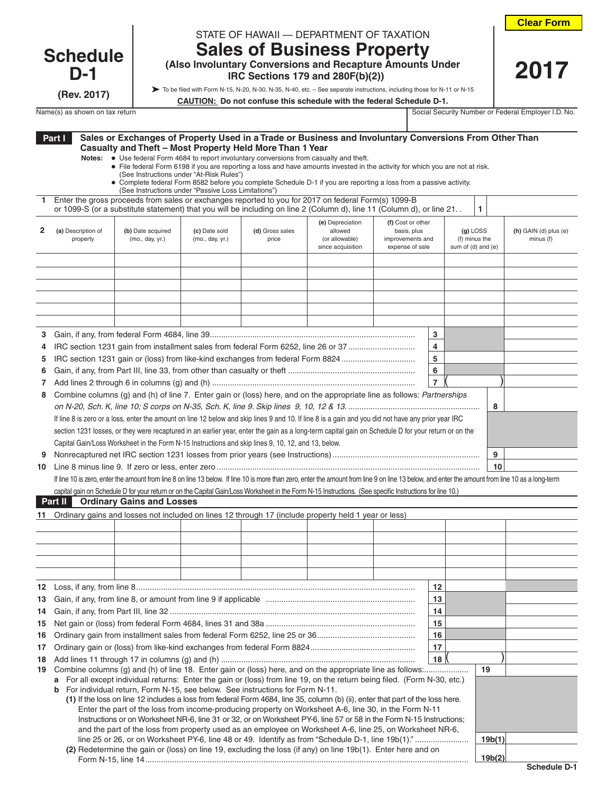**Clear Form**

 **2017**

## **Schedule D-1**

**(Rev. 2017)**

| STATE OF HAWAII - DEPARTMENT OF TAXATION |  |
|------------------------------------------|--|

## **Sales of Business Property (Also Involuntary Conversions and Recapture Amounts Under**

 **IRC Sections 179 and 280F(b)(2))**

To be filed with Form N-15, N-20, N-30, N-35, N-40, etc. – See separate instructions, including those for N-11 or N-15

**CAUTION: Do not confuse this schedule with the federal Schedule D-1.**

Name(s) as shown on tax return Social Security Number or Federal Employer I.D. No.

|    | Part I                                                                                | Notes:                         | (See Instructions under "At-Risk Rules")<br>(See Instructions under "Passive Loss Limitations") |                                  | Sales or Exchanges of Property Used in a Trade or Business and Involuntary Conversions From Other Than<br>Casualty and Theft - Most Property Held More Than 1 Year<br>• Use federal Form 4684 to report involuntary conversions from casualty and theft.<br>• File federal Form 6198 if you are reporting a loss and have amounts invested in the activity for which you are not at risk.<br>• Complete federal Form 8582 before you complete Schedule D-1 if you are reporting a loss from a passive activity. |                                                                    |                                                                         |                |  |                                                   |                                      |
|----|---------------------------------------------------------------------------------------|--------------------------------|-------------------------------------------------------------------------------------------------|----------------------------------|-----------------------------------------------------------------------------------------------------------------------------------------------------------------------------------------------------------------------------------------------------------------------------------------------------------------------------------------------------------------------------------------------------------------------------------------------------------------------------------------------------------------|--------------------------------------------------------------------|-------------------------------------------------------------------------|----------------|--|---------------------------------------------------|--------------------------------------|
| 1. |                                                                                       |                                |                                                                                                 |                                  | Enter the gross proceeds from sales or exchanges reported to you for 2017 on federal Form(s) 1099-B<br>or 1099-S (or a substitute statement) that you will be including on line 2 (Column d), line 11 (Column d), or line 21.                                                                                                                                                                                                                                                                                   |                                                                    |                                                                         |                |  | 1                                                 |                                      |
| 2  |                                                                                       | (a) Description of<br>property | (b) Date acquired<br>(mo., day, yr.)                                                            | (c) Date sold<br>(mo., day, yr.) | (d) Gross sales<br>price                                                                                                                                                                                                                                                                                                                                                                                                                                                                                        | (e) Depreciation<br>allowed<br>(or allowable)<br>since acquisition | (f) Cost or other<br>basis, plus<br>improvements and<br>expense of sale |                |  | $(q)$ LOSS<br>(f) minus the<br>sum of (d) and (e) | $(h)$ GAIN (d) plus (e)<br>minus (f) |
|    |                                                                                       |                                |                                                                                                 |                                  |                                                                                                                                                                                                                                                                                                                                                                                                                                                                                                                 |                                                                    |                                                                         |                |  |                                                   |                                      |
|    |                                                                                       |                                |                                                                                                 |                                  |                                                                                                                                                                                                                                                                                                                                                                                                                                                                                                                 |                                                                    |                                                                         |                |  |                                                   |                                      |
|    |                                                                                       |                                |                                                                                                 |                                  |                                                                                                                                                                                                                                                                                                                                                                                                                                                                                                                 |                                                                    |                                                                         |                |  |                                                   |                                      |
|    |                                                                                       |                                |                                                                                                 |                                  |                                                                                                                                                                                                                                                                                                                                                                                                                                                                                                                 |                                                                    |                                                                         |                |  |                                                   |                                      |
|    |                                                                                       |                                |                                                                                                 |                                  |                                                                                                                                                                                                                                                                                                                                                                                                                                                                                                                 |                                                                    |                                                                         |                |  |                                                   |                                      |
|    |                                                                                       |                                |                                                                                                 |                                  |                                                                                                                                                                                                                                                                                                                                                                                                                                                                                                                 |                                                                    |                                                                         |                |  |                                                   |                                      |
| 3  |                                                                                       |                                |                                                                                                 |                                  |                                                                                                                                                                                                                                                                                                                                                                                                                                                                                                                 |                                                                    |                                                                         | 3              |  |                                                   |                                      |
| 4  |                                                                                       |                                |                                                                                                 |                                  | IRC section 1231 gain from installment sales from federal Form 6252, line 26 or 37                                                                                                                                                                                                                                                                                                                                                                                                                              |                                                                    |                                                                         | 4              |  |                                                   |                                      |
| 5  |                                                                                       |                                |                                                                                                 |                                  | IRC section 1231 gain or (loss) from like-kind exchanges from federal Form 8824                                                                                                                                                                                                                                                                                                                                                                                                                                 |                                                                    |                                                                         | 5              |  |                                                   |                                      |
| 6  |                                                                                       |                                |                                                                                                 |                                  |                                                                                                                                                                                                                                                                                                                                                                                                                                                                                                                 |                                                                    |                                                                         | 6              |  |                                                   |                                      |
| 7  |                                                                                       |                                |                                                                                                 |                                  |                                                                                                                                                                                                                                                                                                                                                                                                                                                                                                                 |                                                                    |                                                                         | $\overline{7}$ |  |                                                   |                                      |
| 8  |                                                                                       |                                |                                                                                                 |                                  | Combine columns (g) and (h) of line 7. Enter gain or (loss) here, and on the appropriate line as follows: Partnerships                                                                                                                                                                                                                                                                                                                                                                                          |                                                                    |                                                                         |                |  |                                                   |                                      |
|    |                                                                                       |                                |                                                                                                 |                                  |                                                                                                                                                                                                                                                                                                                                                                                                                                                                                                                 |                                                                    |                                                                         |                |  | 8                                                 |                                      |
|    |                                                                                       |                                |                                                                                                 |                                  | If line 8 is zero or a loss, enter the amount on line 12 below and skip lines 9 and 10. If line 8 is a gain and you did not have any prior year IRC                                                                                                                                                                                                                                                                                                                                                             |                                                                    |                                                                         |                |  |                                                   |                                      |
|    |                                                                                       |                                |                                                                                                 |                                  | section 1231 losses, or they were recaptured in an earlier year, enter the gain as a long-term capital gain on Schedule D for your return or on the                                                                                                                                                                                                                                                                                                                                                             |                                                                    |                                                                         |                |  |                                                   |                                      |
|    |                                                                                       |                                |                                                                                                 |                                  | Capital Gain/Loss Worksheet in the Form N-15 Instructions and skip lines 9, 10, 12, and 13, below.                                                                                                                                                                                                                                                                                                                                                                                                              |                                                                    |                                                                         |                |  |                                                   |                                      |
| 9  |                                                                                       |                                |                                                                                                 |                                  |                                                                                                                                                                                                                                                                                                                                                                                                                                                                                                                 |                                                                    |                                                                         |                |  | 9                                                 |                                      |
|    |                                                                                       |                                |                                                                                                 |                                  |                                                                                                                                                                                                                                                                                                                                                                                                                                                                                                                 |                                                                    |                                                                         |                |  | 10                                                |                                      |
|    |                                                                                       |                                |                                                                                                 |                                  | If line 10 is zero, enter the amount from line 8 on line 13 below. If line 10 is more than zero, enter the amount from line 9 on line 13 below, and enter the amount from line 10 as a long-term                                                                                                                                                                                                                                                                                                                |                                                                    |                                                                         |                |  |                                                   |                                      |
|    |                                                                                       |                                |                                                                                                 |                                  | capital gain on Schedule D for your return or on the Capital Gain/Loss Worksheet in the Form N-15 Instructions. (See specific Instructions for line 10.)                                                                                                                                                                                                                                                                                                                                                        |                                                                    |                                                                         |                |  |                                                   |                                      |
|    | Part II                                                                               |                                | <b>Ordinary Gains and Losses</b>                                                                |                                  |                                                                                                                                                                                                                                                                                                                                                                                                                                                                                                                 |                                                                    |                                                                         |                |  |                                                   |                                      |
|    |                                                                                       |                                |                                                                                                 |                                  | 11 Ordinary gains and losses not included on lines 12 through 17 (include property held 1 year or less)                                                                                                                                                                                                                                                                                                                                                                                                         |                                                                    |                                                                         |                |  |                                                   |                                      |
|    |                                                                                       |                                |                                                                                                 |                                  |                                                                                                                                                                                                                                                                                                                                                                                                                                                                                                                 |                                                                    |                                                                         |                |  |                                                   |                                      |
|    |                                                                                       |                                |                                                                                                 |                                  |                                                                                                                                                                                                                                                                                                                                                                                                                                                                                                                 |                                                                    |                                                                         |                |  |                                                   |                                      |
|    |                                                                                       |                                |                                                                                                 |                                  |                                                                                                                                                                                                                                                                                                                                                                                                                                                                                                                 |                                                                    |                                                                         |                |  |                                                   |                                      |
|    |                                                                                       |                                |                                                                                                 |                                  |                                                                                                                                                                                                                                                                                                                                                                                                                                                                                                                 |                                                                    |                                                                         |                |  |                                                   |                                      |
|    |                                                                                       |                                |                                                                                                 |                                  |                                                                                                                                                                                                                                                                                                                                                                                                                                                                                                                 |                                                                    |                                                                         | 12             |  |                                                   |                                      |
| 13 |                                                                                       |                                |                                                                                                 |                                  |                                                                                                                                                                                                                                                                                                                                                                                                                                                                                                                 |                                                                    |                                                                         | 13             |  |                                                   |                                      |
| 14 |                                                                                       |                                |                                                                                                 |                                  |                                                                                                                                                                                                                                                                                                                                                                                                                                                                                                                 |                                                                    |                                                                         | 14             |  |                                                   |                                      |
| 15 |                                                                                       |                                |                                                                                                 |                                  |                                                                                                                                                                                                                                                                                                                                                                                                                                                                                                                 |                                                                    |                                                                         | 15             |  |                                                   |                                      |
| 16 |                                                                                       |                                |                                                                                                 |                                  |                                                                                                                                                                                                                                                                                                                                                                                                                                                                                                                 |                                                                    |                                                                         | 16             |  |                                                   |                                      |
| 17 |                                                                                       |                                |                                                                                                 |                                  |                                                                                                                                                                                                                                                                                                                                                                                                                                                                                                                 |                                                                    |                                                                         | 17             |  |                                                   |                                      |
| 18 |                                                                                       |                                |                                                                                                 |                                  |                                                                                                                                                                                                                                                                                                                                                                                                                                                                                                                 |                                                                    |                                                                         | 18             |  |                                                   |                                      |
| 19 |                                                                                       |                                |                                                                                                 |                                  |                                                                                                                                                                                                                                                                                                                                                                                                                                                                                                                 |                                                                    |                                                                         |                |  | 19                                                |                                      |
|    |                                                                                       |                                |                                                                                                 |                                  | a For all except individual returns: Enter the gain or (loss) from line 19, on the return being filed. (Form N-30, etc.)                                                                                                                                                                                                                                                                                                                                                                                        |                                                                    |                                                                         |                |  |                                                   |                                      |
|    | <b>b</b> For individual return, Form N-15, see below. See instructions for Form N-11. |                                |                                                                                                 |                                  |                                                                                                                                                                                                                                                                                                                                                                                                                                                                                                                 |                                                                    |                                                                         |                |  |                                                   |                                      |
|    |                                                                                       |                                |                                                                                                 |                                  | (1) If the loss on line 12 includes a loss from federal Form 4684, line 35, column (b) (ii), enter that part of the loss here.<br>Enter the part of the loss from income-producing property on Worksheet A-6, line 30, in the Form N-11                                                                                                                                                                                                                                                                         |                                                                    |                                                                         |                |  |                                                   |                                      |
|    |                                                                                       |                                |                                                                                                 |                                  | Instructions or on Worksheet NR-6, line 31 or 32, or on Worksheet PY-6, line 57 or 58 in the Form N-15 Instructions;                                                                                                                                                                                                                                                                                                                                                                                            |                                                                    |                                                                         |                |  |                                                   |                                      |
|    |                                                                                       |                                |                                                                                                 |                                  | and the part of the loss from property used as an employee on Worksheet A-6, line 25, on Worksheet NR-6,                                                                                                                                                                                                                                                                                                                                                                                                        |                                                                    |                                                                         |                |  |                                                   |                                      |
|    |                                                                                       |                                |                                                                                                 |                                  | line 25 or 26, or on Worksheet PY-6, line 48 or 49. Identify as from "Schedule D-1, line 19b(1)."                                                                                                                                                                                                                                                                                                                                                                                                               |                                                                    |                                                                         |                |  | 19b(1)                                            |                                      |
|    |                                                                                       |                                |                                                                                                 |                                  | (2) Redetermine the gain or (loss) on line 19, excluding the loss (if any) on line 19b(1). Enter here and on                                                                                                                                                                                                                                                                                                                                                                                                    |                                                                    |                                                                         |                |  |                                                   |                                      |
|    |                                                                                       |                                |                                                                                                 |                                  |                                                                                                                                                                                                                                                                                                                                                                                                                                                                                                                 |                                                                    |                                                                         |                |  | 19b(2)                                            |                                      |